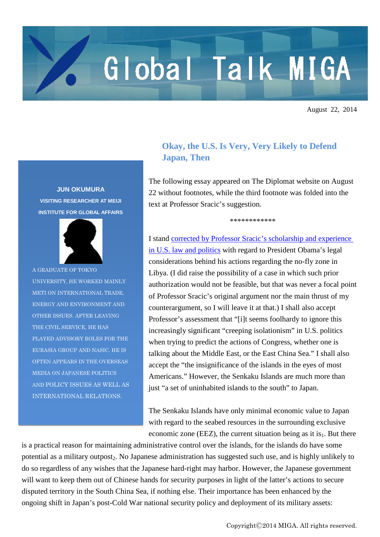## Global Talk MIGA

August 22, 2014

## **JUN OKUMURA VISITING RESEARCHER AT MEIJI INSTITUTE FOR GLOBAL AFFAIRS**



A GRADUATE OF TOKYO UNIVERSITY, HE WORKED MAINLY METI ON INTERNATIONAL TRADE, ENERGY AND ENVIRONMENT AND OTHER ISSUES. AFTER LEAVING THE CIVIL SERVICE, HE HAS PLAYED ADVISORY ROLES FOR THE EURASIA GROUP AND NASIC. HE IS OFTEN APPEARS IN THE OVERSEAS MEDIA ON JAPANESE POLITICS AND POLICY ISSUES AS WELL AS INTERNATIONAL RELATIONS.

## **Okay, the U.S. Is Very, Very Likely to Defend Japan, Then**

The following essay appeared on The Diplomat website on August 22 without footnotes, while the third footnote was folded into the text at Professor Sracic's suggestion.

\*\*\*\*\*\*\*\*\*\*\*\*

I stand [corrected by Professor Sracic's scholarship and experience](http://thediplomat.com/2014/08/will-the-u-s-defend-japan-more-of-a-definite-maybe/)  [in U.S. law and politics](http://thediplomat.com/2014/08/will-the-u-s-defend-japan-more-of-a-definite-maybe/) with regard to President Obama's legal considerations behind his actions regarding the no-fly zone in Libya. (I did raise the possibility of a case in which such prior authorization would not be feasible, but that was never a focal point of Professor Sracic's original argument nor the main thrust of my counterargument, so I will leave it at that.) I shall also accept Professor's assessment that "[i]t seems foolhardy to ignore this increasingly significant "creeping isolationism" in U.S. politics when trying to predict the actions of Congress, whether one is talking about the Middle East, or the East China Sea." I shall also accept the "the insignificance of the islands in the eyes of most Americans." However, the Senkaku Islands are much more than just "a set of uninhabited islands to the south" to Japan.

The Senkaku Islands have only minimal economic value to Japan with regard to the seabed resources in the surrounding exclusive economic zone (EEZ), the current situation being as it is $_1$ . But there

is a practical reason for maintaining administrative control over the islands, for the islands do have some potential as a military outpost<sub>2</sub>. No Japanese administration has suggested such use, and is highly unlikely to do so regardless of any wishes that the Japanese hard-right may harbor. However, the Japanese government will want to keep them out of Chinese hands for security purposes in light of the latter's actions to secure disputed territory in the South China Sea, if nothing else. Their importance has been enhanced by the ongoing shift in Japan's post-Cold War national security policy and deployment of its military assets: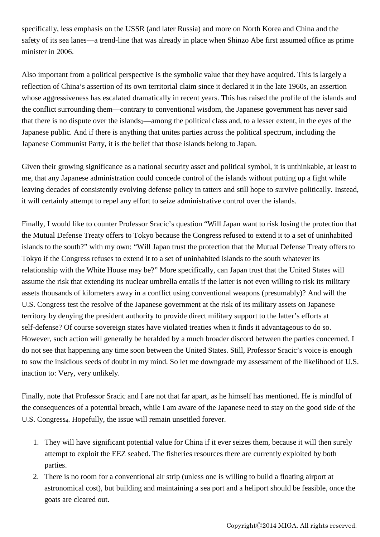specifically, less emphasis on the USSR (and later Russia) and more on North Korea and China and the safety of its sea lanes—a trend-line that was already in place when Shinzo Abe first assumed office as prime minister in 2006.

Also important from a political perspective is the symbolic value that they have acquired. This is largely a reflection of China's assertion of its own territorial claim since it declared it in the late 1960s, an assertion whose aggressiveness has escalated dramatically in recent years. This has raised the profile of the islands and the conflict surrounding them—contrary to conventional wisdom, the Japanese government has never said that there is no dispute over the islands $_3$ —among the political class and, to a lesser extent, in the eyes of the Japanese public. And if there is anything that unites parties across the political spectrum, including the Japanese Communist Party, it is the belief that those islands belong to Japan.

Given their growing significance as a national security asset and political symbol, it is unthinkable, at least to me, that any Japanese administration could concede control of the islands without putting up a fight while leaving decades of consistently evolving defense policy in tatters and still hope to survive politically. Instead, it will certainly attempt to repel any effort to seize administrative control over the islands.

Finally, I would like to counter Professor Sracic's question "Will Japan want to risk losing the protection that the Mutual Defense Treaty offers to Tokyo because the Congress refused to extend it to a set of uninhabited islands to the south?" with my own: "Will Japan trust the protection that the Mutual Defense Treaty offers to Tokyo if the Congress refuses to extend it to a set of uninhabited islands to the south whatever its relationship with the White House may be?" More specifically, can Japan trust that the United States will assume the risk that extending its nuclear umbrella entails if the latter is not even willing to risk its military assets thousands of kilometers away in a conflict using conventional weapons (presumably)? And will the U.S. Congress test the resolve of the Japanese government at the risk of its military assets on Japanese territory by denying the president authority to provide direct military support to the latter's efforts at self-defense? Of course sovereign states have violated treaties when it finds it advantageous to do so. However, such action will generally be heralded by a much broader discord between the parties concerned. I do not see that happening any time soon between the United States. Still, Professor Sracic's voice is enough to sow the insidious seeds of doubt in my mind. So let me downgrade my assessment of the likelihood of U.S. inaction to: Very, very unlikely.

Finally, note that Professor Sracic and I are not that far apart, as he himself has mentioned. He is mindful of the consequences of a potential breach, while I am aware of the Japanese need to stay on the good side of the U.S. Congress<sub>4</sub>. Hopefully, the issue will remain unsettled forever.

- 1. They will have significant potential value for China if it ever seizes them, because it will then surely attempt to exploit the EEZ seabed. The fisheries resources there are currently exploited by both parties.
- 2. There is no room for a conventional air strip (unless one is willing to build a floating airport at astronomical cost), but building and maintaining a sea port and a heliport should be feasible, once the goats are cleared out.